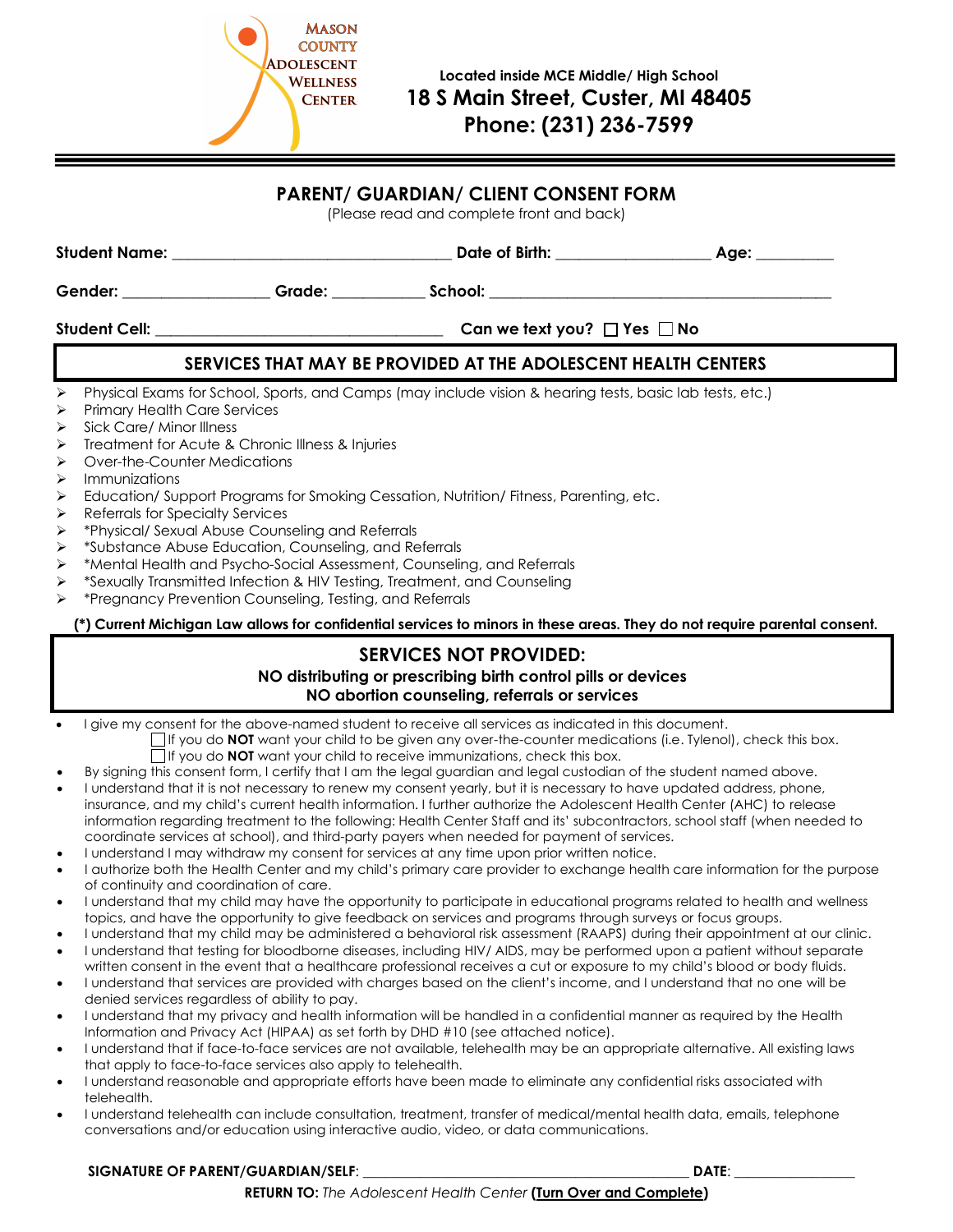

#### **PARENT/ GUARDIAN/ CLIENT CONSENT FORM**

(Please read and complete front and back)

|                                                                                                                                                                                                           | Gender: Grade: Crackersence Crackersence Crackersence Crackersence Crackersence Crackersence Crackersence Crackersence Crackersence Crackersence Crackersence Crackersence Crackersence Crackersence Crackersence Crackersence                                                                                                                                                                                                                                                                                                                                                                                                                                                                                                                                                                                                                                                                                                                                                                                                                                                                                                                                                                                                                                                                                                                                                                                                                                                                                                                                                                                                                                                                                                                                                                         |                                                                                                                                                                                                     |  |
|-----------------------------------------------------------------------------------------------------------------------------------------------------------------------------------------------------------|--------------------------------------------------------------------------------------------------------------------------------------------------------------------------------------------------------------------------------------------------------------------------------------------------------------------------------------------------------------------------------------------------------------------------------------------------------------------------------------------------------------------------------------------------------------------------------------------------------------------------------------------------------------------------------------------------------------------------------------------------------------------------------------------------------------------------------------------------------------------------------------------------------------------------------------------------------------------------------------------------------------------------------------------------------------------------------------------------------------------------------------------------------------------------------------------------------------------------------------------------------------------------------------------------------------------------------------------------------------------------------------------------------------------------------------------------------------------------------------------------------------------------------------------------------------------------------------------------------------------------------------------------------------------------------------------------------------------------------------------------------------------------------------------------------|-----------------------------------------------------------------------------------------------------------------------------------------------------------------------------------------------------|--|
|                                                                                                                                                                                                           | Student Cell: __________________________________                                                                                                                                                                                                                                                                                                                                                                                                                                                                                                                                                                                                                                                                                                                                                                                                                                                                                                                                                                                                                                                                                                                                                                                                                                                                                                                                                                                                                                                                                                                                                                                                                                                                                                                                                       | Can we text you? $\Box$ Yes $\Box$ No                                                                                                                                                               |  |
|                                                                                                                                                                                                           |                                                                                                                                                                                                                                                                                                                                                                                                                                                                                                                                                                                                                                                                                                                                                                                                                                                                                                                                                                                                                                                                                                                                                                                                                                                                                                                                                                                                                                                                                                                                                                                                                                                                                                                                                                                                        | SERVICES THAT MAY BE PROVIDED AT THE ADOLESCENT HEALTH CENTERS                                                                                                                                      |  |
| $\blacktriangleright$<br>➤<br>$\blacktriangleright$<br>➤<br>$\blacktriangleright$<br>$\blacktriangleright$<br>⋗<br>$\blacktriangleright$<br>$\blacktriangleright$<br>➤<br>⋗<br>➤<br>$\blacktriangleright$ | Physical Exams for School, Sports, and Camps (may include vision & hearing tests, basic lab tests, etc.)<br><b>Primary Health Care Services</b><br>Sick Care/ Minor Illness<br>Treatment for Acute & Chronic Illness & Injuries<br>Over-the-Counter Medications<br>Immunizations<br>Education/Support Programs for Smoking Cessation, Nutrition/Fitness, Parenting, etc.<br>Referrals for Specialty Services<br>*Physical/ Sexual Abuse Counseling and Referrals<br>*Substance Abuse Education, Counseling, and Referrals<br>*Mental Health and Psycho-Social Assessment, Counseling, and Referrals<br>*Sexually Transmitted Infection & HIV Testing, Treatment, and Counseling<br>*Pregnancy Prevention Counseling, Testing, and Referrals<br>(*) Current Michigan Law allows for confidential services to minors in these areas. They do not require parental consent.                                                                                                                                                                                                                                                                                                                                                                                                                                                                                                                                                                                                                                                                                                                                                                                                                                                                                                                               |                                                                                                                                                                                                     |  |
|                                                                                                                                                                                                           |                                                                                                                                                                                                                                                                                                                                                                                                                                                                                                                                                                                                                                                                                                                                                                                                                                                                                                                                                                                                                                                                                                                                                                                                                                                                                                                                                                                                                                                                                                                                                                                                                                                                                                                                                                                                        | <b>SERVICES NOT PROVIDED:</b>                                                                                                                                                                       |  |
|                                                                                                                                                                                                           |                                                                                                                                                                                                                                                                                                                                                                                                                                                                                                                                                                                                                                                                                                                                                                                                                                                                                                                                                                                                                                                                                                                                                                                                                                                                                                                                                                                                                                                                                                                                                                                                                                                                                                                                                                                                        | NO distributing or prescribing birth control pills or devices<br>NO abortion counseling, referrals or services                                                                                      |  |
| $\bullet$<br>$\bullet$<br>$\bullet$<br>$\bullet$<br>$\bullet$<br>$\bullet$<br>$\bullet$<br>$\bullet$<br>$\bullet$                                                                                         | I give my consent for the above-named student to receive all services as indicated in this document.<br>By signing this consent form, I certify that I am the legal guardian and legal custodian of the student named above.<br>I understand that it is not necessary to renew my consent yearly, but it is necessary to have updated address, phone,<br>insurance, and my child's current health information. I further authorize the Adolescent Health Center (AHC) to release<br>information regarding treatment to the following: Health Center Staff and its' subcontractors, school staff (when needed to<br>coordinate services at school), and third-party payers when needed for payment of services.<br>I understand I may withdraw my consent for services at any time upon prior written notice.<br>I authorize both the Health Center and my child's primary care provider to exchange health care information for the purpose<br>of continuity and coordination of care.<br>I understand that my child may have the opportunity to participate in educational programs related to health and wellness<br>topics, and have the opportunity to give feedback on services and programs through surveys or focus groups.<br>I understand that my child may be administered a behavioral risk assessment (RAAPS) during their appointment at our clinic.<br>I understand that testing for bloodborne diseases, including HIV/AIDS, may be performed upon a patient without separate<br>written consent in the event that a healthcare professional receives a cut or exposure to my child's blood or body fluids.<br>I understand that services are provided with charges based on the client's income, and I understand that no one will be<br>denied services regardless of ability to pay. | If you do NOT want your child to be given any over-the-counter medications (i.e. Tylenol), check this box.<br>$\Box$ If you do <b>NOT</b> want your child to receive immunizations, check this box. |  |

- I understand that my privacy and health information will be handled in a confidential manner as required by the Health Information and Privacy Act (HIPAA) as set forth by DHD #10 (see attached notice).
- I understand that if face-to-face services are not available, telehealth may be an appropriate alternative. All existing laws that apply to face-to-face services also apply to telehealth.
- I understand reasonable and appropriate efforts have been made to eliminate any confidential risks associated with telehealth.
- I understand telehealth can include consultation, treatment, transfer of medical/mental health data, emails, telephone conversations and/or education using interactive audio, video, or data communications.

#### **SIGNATURE OF PARENT/GUARDIAN/SELF**: \_\_\_\_\_\_\_\_\_\_\_\_\_\_\_\_\_\_\_\_\_\_\_\_\_\_\_\_\_\_\_\_\_\_\_\_\_\_\_\_\_\_\_\_\_\_ **DATE**: \_\_\_\_\_\_\_\_\_\_\_\_\_\_\_\_\_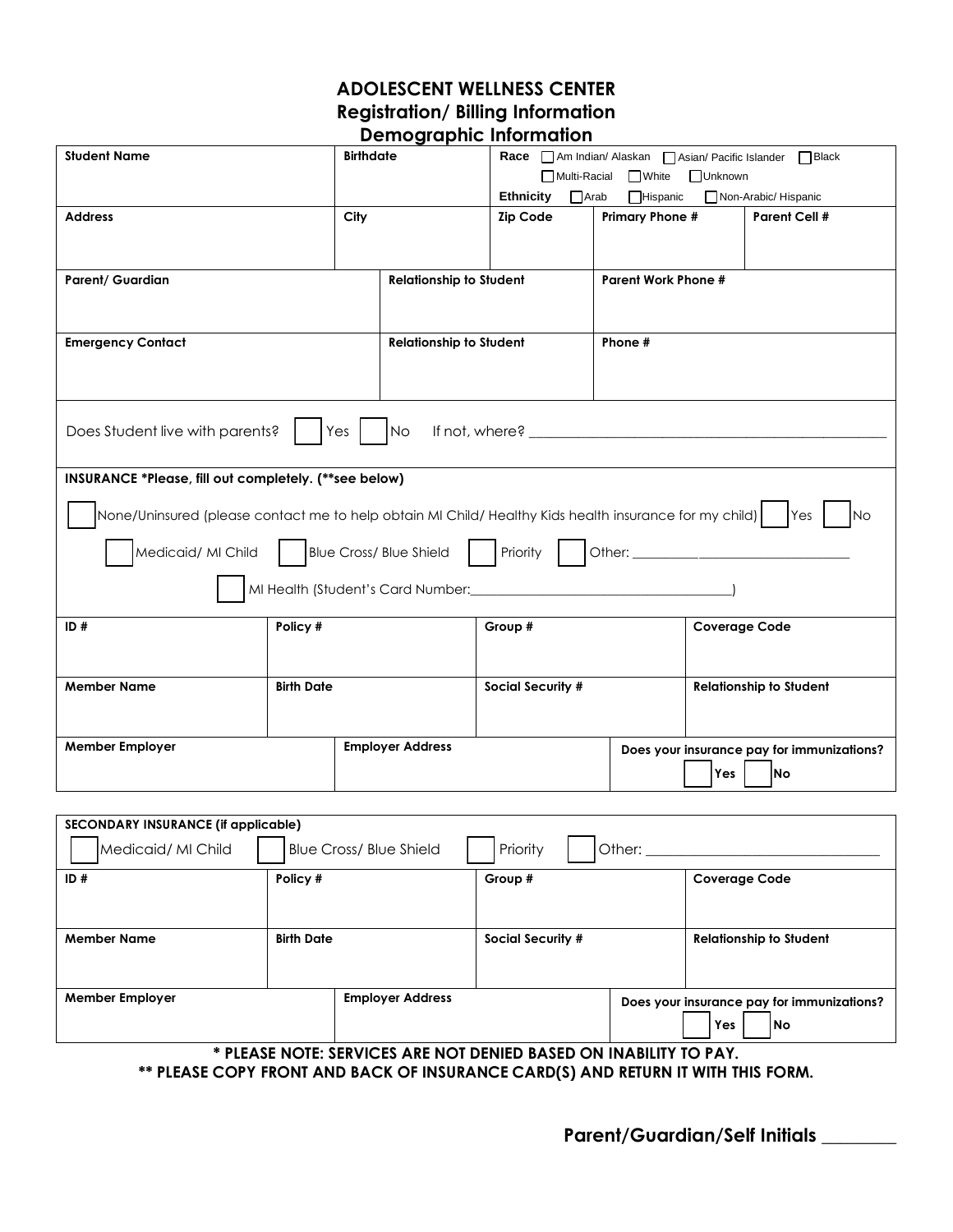### **ADOLESCENT WELLNESS CENTER Registration/ Billing Information Demographic Information**

|                                                                                                              |                   | bennograpme mnomnanom                                 |                                              |                            |                      |                                            |
|--------------------------------------------------------------------------------------------------------------|-------------------|-------------------------------------------------------|----------------------------------------------|----------------------------|----------------------|--------------------------------------------|
| <b>Student Name</b><br><b>Birthdate</b>                                                                      |                   | Race Am Indian/ Alaskan Asian/ Pacific Islander Black |                                              |                            |                      |                                            |
|                                                                                                              |                   |                                                       | $\Box$ Multi-Racial $\Box$ White<br>□Unknown |                            |                      |                                            |
|                                                                                                              |                   |                                                       | $\Box$ Arab<br><b>Ethnicity</b>              | <b>Hispanic</b>            |                      | Non-Arabic/ Hispanic                       |
| <b>Address</b>                                                                                               | City              |                                                       | <b>Zip Code</b>                              | <b>Primary Phone #</b>     |                      | <b>Parent Cell #</b>                       |
|                                                                                                              |                   |                                                       |                                              |                            |                      |                                            |
|                                                                                                              |                   |                                                       |                                              |                            |                      |                                            |
| <b>Parent/ Guardian</b>                                                                                      |                   | <b>Relationship to Student</b>                        |                                              | <b>Parent Work Phone #</b> |                      |                                            |
|                                                                                                              |                   |                                                       |                                              |                            |                      |                                            |
|                                                                                                              |                   |                                                       |                                              |                            |                      |                                            |
| <b>Emergency Contact</b>                                                                                     |                   | <b>Relationship to Student</b>                        |                                              | Phone #                    |                      |                                            |
|                                                                                                              |                   |                                                       |                                              |                            |                      |                                            |
|                                                                                                              |                   |                                                       |                                              |                            |                      |                                            |
|                                                                                                              |                   |                                                       |                                              |                            |                      |                                            |
|                                                                                                              |                   |                                                       |                                              |                            |                      |                                            |
| Does Student live with parents?                                                                              | Yes               |                                                       |                                              |                            |                      |                                            |
|                                                                                                              |                   |                                                       |                                              |                            |                      |                                            |
| INSURANCE *Please, fill out completely. (**see below)                                                        |                   |                                                       |                                              |                            |                      |                                            |
|                                                                                                              |                   |                                                       |                                              |                            |                      |                                            |
| None/Uninsured (please contact me to help obtain MI Child/ Healthy Kids health insurance for my child)   Yes |                   |                                                       |                                              |                            |                      | lNo                                        |
|                                                                                                              |                   |                                                       |                                              |                            |                      |                                            |
| Medicaid/ MI Child   Blue Cross/ Blue Shield   Priority   Other: ________________                            |                   |                                                       |                                              |                            |                      |                                            |
|                                                                                                              |                   |                                                       |                                              |                            |                      |                                            |
|                                                                                                              |                   |                                                       |                                              |                            |                      |                                            |
| ID#                                                                                                          | Policy #          |                                                       | Group #                                      |                            | <b>Coverage Code</b> |                                            |
|                                                                                                              |                   |                                                       |                                              |                            |                      |                                            |
|                                                                                                              |                   |                                                       |                                              |                            |                      |                                            |
| <b>Member Name</b>                                                                                           | <b>Birth Date</b> |                                                       | Social Security #                            |                            |                      | <b>Relationship to Student</b>             |
|                                                                                                              |                   |                                                       |                                              |                            |                      |                                            |
|                                                                                                              |                   |                                                       |                                              |                            |                      |                                            |
| <b>Member Employer</b>                                                                                       |                   | <b>Employer Address</b>                               |                                              |                            |                      | Does your insurance pay for immunizations? |
|                                                                                                              |                   |                                                       |                                              |                            |                      |                                            |
|                                                                                                              |                   |                                                       |                                              |                            | Yes                  | <b>INo</b>                                 |

| SECONDARY INSURANCE (if applicable)                                        |  |                         |                          |                                            |                                |
|----------------------------------------------------------------------------|--|-------------------------|--------------------------|--------------------------------------------|--------------------------------|
| Medicaid/ MI Child<br><b>Blue Cross/ Blue Shield</b><br>Priority<br>Other: |  |                         |                          |                                            |                                |
| ID#<br>Policy #                                                            |  |                         | Group #                  |                                            | <b>Coverage Code</b>           |
|                                                                            |  |                         |                          |                                            |                                |
| <b>Birth Date</b><br><b>Member Name</b>                                    |  |                         | <b>Social Security #</b> |                                            | <b>Relationship to Student</b> |
|                                                                            |  |                         |                          |                                            |                                |
| <b>Member Employer</b>                                                     |  | <b>Employer Address</b> |                          | Does your insurance pay for immunizations? |                                |
|                                                                            |  |                         |                          |                                            | Yes<br> No                     |
| * PIFASE NOTE: SERVICES ARE NOT DENIED BASED ON INARILITY TO PAY           |  |                         |                          |                                            |                                |

**ARE NOT DENIED B \*\* PLEASE COPY FRONT AND BACK OF INSURANCE CARD(S) AND RETURN IT WITH THIS FORM.**

**Parent/Guardian/Self Initials \_\_\_\_\_\_\_\_**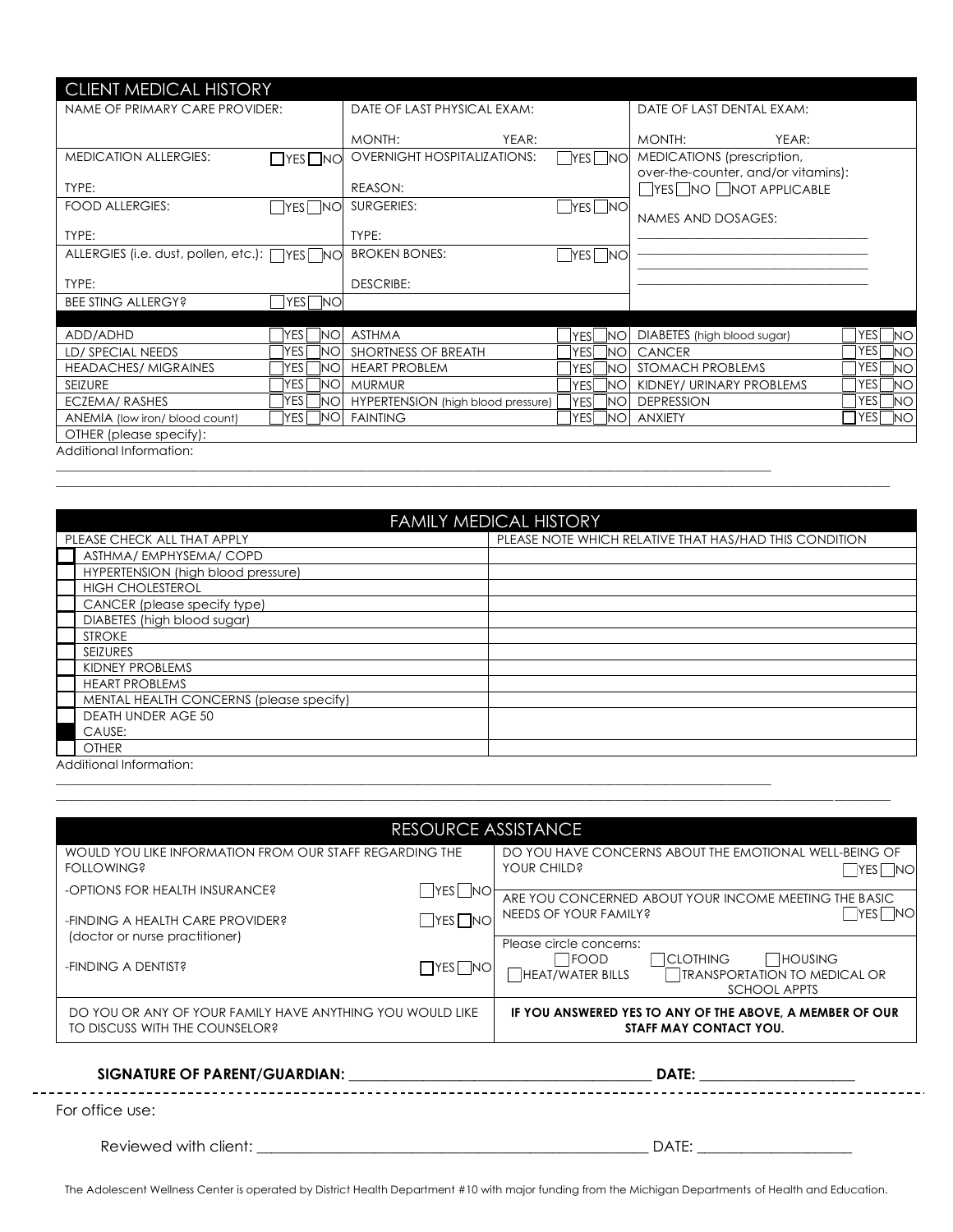| <b>CLIENT MEDICAL HISTORY</b>                |                          |                                    |                  |                                                                   |                                    |
|----------------------------------------------|--------------------------|------------------------------------|------------------|-------------------------------------------------------------------|------------------------------------|
| NAME OF PRIMARY CARE PROVIDER:               |                          | DATE OF LAST PHYSICAL EXAM:        |                  | DATE OF LAST DENTAL EXAM:                                         |                                    |
|                                              |                          | YEAR:<br>MONTH:                    |                  | MONTH:<br>YEAR:                                                   |                                    |
| <b>MEDICATION ALLERGIES:</b>                 | $\Box$ YES $\Box$ NO     | <b>OVERNIGHT HOSPITALIZATIONS:</b> | YESI INO         | MEDICATIONS (prescription,<br>over-the-counter, and/or vitamins): |                                    |
| TYPE:                                        |                          | REASON:                            |                  | YES NO NOT APPLICABLE                                             |                                    |
| <b>FOOD ALLERGIES:</b>                       | YES   NO                 | SURGERIES:                         | iyesi Ino        | NAMES AND DOSAGES:                                                |                                    |
| TYPE:                                        |                          | TYPE:                              |                  |                                                                   |                                    |
| ALLERGIES (i.e. dust, pollen, etc.): □YES NO |                          | <b>BROKEN BONES:</b>               | $r$ es $\Box$ no |                                                                   |                                    |
| TYPE:                                        |                          | <b>DESCRIBE:</b>                   |                  |                                                                   |                                    |
| <b>BEE STING ALLERGY?</b>                    | YES I<br><b>NO</b>       |                                    |                  |                                                                   |                                    |
|                                              |                          |                                    |                  |                                                                   |                                    |
| ADD/ADHD                                     | <b>NO</b><br><b>IYES</b> | <b>ASTHMA</b>                      | YESİ<br>NO.      | DIABETES (high blood sugar)                                       | YES<br><b>NO</b>                   |
| LD/ SPECIAL NEEDS                            | <b>YES</b><br>NΟ         | SHORTNESS OF BREATH                | YESI<br>NO.      | <b>CANCER</b>                                                     | <b>YES</b><br><b>NO</b>            |
| <b>HEADACHES/ MIGRAINES</b>                  | YES<br>NΟ                | <b>HEART PROBLEM</b>               | YESI<br>NΟ       | STOMACH PROBLEMS                                                  | <b>YES</b><br><b>NO</b>            |
| <b>SEIZURE</b>                               | lyes.<br>NΟ              | <b>MURMUR</b>                      | YESI<br>NΟ       | KIDNEY/ URINARY PROBLEMS                                          | YES<br><b>NO</b>                   |
| ECZEMA/RASHES                                | <b>YES</b><br>NO         | HYPERTENSION (high blood pressure) | YESI<br>NO.      | <b>DEPRESSION</b>                                                 | YESI<br><b>NO</b>                  |
| ANEMIA (low iron/ blood count)               | YESI<br>NO.              | <b>FAINTING</b>                    | YESI<br>NΟ       | <b>ANXIETY</b>                                                    | $\sqcap$ YES $\lceil$<br><b>NO</b> |
| OTHER (please specify):                      |                          |                                    |                  |                                                                   |                                    |
| Additional Information:                      |                          |                                    |                  |                                                                   |                                    |

| <b>FAMILY MEDICAL HISTORY</b>           |                                                        |  |  |  |
|-----------------------------------------|--------------------------------------------------------|--|--|--|
| PLEASE CHECK ALL THAT APPLY             | PLEASE NOTE WHICH RELATIVE THAT HAS/HAD THIS CONDITION |  |  |  |
| ASTHMA/EMPHYSEMA/COPD                   |                                                        |  |  |  |
| HYPERTENSION (high blood pressure)      |                                                        |  |  |  |
| <b>HIGH CHOLESTEROL</b>                 |                                                        |  |  |  |
| CANCER (please specify type)            |                                                        |  |  |  |
| DIABETES (high blood sugar)             |                                                        |  |  |  |
| <b>STROKE</b>                           |                                                        |  |  |  |
| SEIZURES                                |                                                        |  |  |  |
| KIDNEY PROBLEMS                         |                                                        |  |  |  |
| <b>HEART PROBLEMS</b>                   |                                                        |  |  |  |
| MENTAL HEALTH CONCERNS (please specify) |                                                        |  |  |  |
| <b>DEATH UNDER AGE 50</b>               |                                                        |  |  |  |
| CAUSE:                                  |                                                        |  |  |  |
| <b>OTHER</b>                            |                                                        |  |  |  |

 $\Box$  . The contribution of the contribution of the contribution of the contribution of the contribution of the contribution of the contribution of the contribution of the contribution of the contribution of the contributi

\_\_\_\_\_\_\_\_\_\_\_\_\_\_\_\_\_\_\_\_\_\_\_\_\_\_\_\_\_\_\_\_\_\_\_\_\_\_\_\_\_\_\_\_\_\_\_\_\_\_\_\_\_\_\_\_\_\_\_\_\_\_\_\_\_\_\_\_\_\_\_\_\_\_\_\_\_\_\_\_\_\_\_\_\_\_\_\_\_\_\_\_\_\_\_\_\_\_\_\_\_\_\_\_\_\_\_\_\_\_\_\_\_\_\_

\_\_\_\_\_\_\_\_\_\_\_\_\_\_\_\_\_\_\_\_\_\_\_\_\_\_\_\_\_\_\_\_\_\_\_\_\_\_\_\_\_\_\_\_\_\_\_\_\_\_\_\_\_\_\_\_\_\_\_\_\_\_\_\_\_\_\_\_\_\_\_\_\_\_\_\_\_\_\_\_\_\_\_\_\_\_\_\_\_\_\_\_\_\_\_\_\_\_\_\_\_\_\_\_\_\_\_\_\_\_\_\_\_\_\_

Additional Information:

| RESOURCE ASSISTANCE                                                                         |                      |                                                                                                                                                         |  |  |
|---------------------------------------------------------------------------------------------|----------------------|---------------------------------------------------------------------------------------------------------------------------------------------------------|--|--|
| WOULD YOU LIKE INFORMATION FROM OUR STAFF REGARDING THE<br><b>FOLLOWING?</b>                |                      | DO YOU HAVE CONCERNS ABOUT THE EMOTIONAL WELL-BEING OF<br>YOUR CHILD?<br>$ YES $ $NO$                                                                   |  |  |
| -OPTIONS FOR HEALTH INSURANCE?                                                              | Iyes I Ino           | ARE YOU CONCERNED ABOUT YOUR INCOME MEETING THE BASIC                                                                                                   |  |  |
| -FINDING A HEALTH CARE PROVIDER?<br>(doctor or nurse practitioner)                          | $\Box$ YES $\Box$ NO | YES NO<br>NEEDS OF YOUR FAMILY?                                                                                                                         |  |  |
| -FINDING A DENTIST?                                                                         | $\Box$ YES $\Box$ NO | Please circle concerns:<br><b>HOUSING</b><br><b>CLOTHING</b><br><b>IFOOD</b><br>HEAT/WATER BILLS<br>TRANSPORTATION TO MEDICAL OR<br><b>SCHOOL APPTS</b> |  |  |
| DO YOU OR ANY OF YOUR FAMILY HAVE ANYTHING YOU WOULD LIKE<br>TO DISCUSS WITH THE COUNSELOR? |                      | IF YOU ANSWERED YES TO ANY OF THE ABOVE, A MEMBER OF OUR<br><b>STAFF MAY CONTACT YOU.</b>                                                               |  |  |

 $\Box$  . The contribution of the contribution of the contribution of the contribution of the contribution of the contribution of the contribution of the contribution of the contribution of the contribution of the contributi

# **SIGNATURE OF PARENT/GUARDIAN: \_\_\_\_\_\_\_\_\_\_\_\_\_\_\_\_\_\_\_\_\_\_\_\_\_\_\_\_\_\_\_\_\_\_\_\_\_\_\_\_\_ DATE: \_\_\_\_\_\_\_\_\_\_\_\_\_\_\_\_\_\_\_\_\_**

For office use:

Reviewed with client: \_\_\_\_\_\_\_\_\_\_\_\_\_\_\_\_\_\_\_\_\_\_\_\_\_\_\_\_\_\_\_\_\_\_\_\_\_\_\_\_\_\_\_\_\_\_\_\_\_\_\_\_\_ DATE: \_\_\_\_\_\_\_\_\_\_\_\_\_\_\_\_\_\_\_\_\_

The Adolescent Wellness Center is operated by District Health Department #10 with major funding from the Michigan Departments of Health and Education.